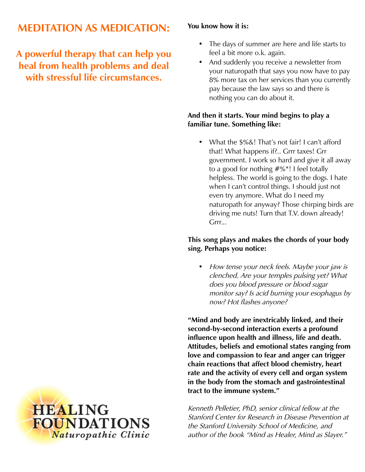# **MEDITATION AS MEDICATION:**

**A powerful therapy that can help you heal from health problems and deal with stressful life circumstances.**

#### **You know how it is:**

- The days of summer are here and life starts to feel a bit more o.k. again.
- And suddenly you receive a newsletter from your naturopath that says you now have to pay 8% more tax on her services than you currently pay because the law says so and there is nothing you can do about it.

#### **And then it starts. Your mind begins to play a familiar tune. Something like:**

• What the  $\frac{6}{6}$ . That's not fair! I can't afford that! What happens if?.. Grrr taxes! Grr government. I work so hard and give it all away to a good for nothing #%\*! I feel totally helpless. The world is going to the dogs. I hate when I can't control things. I should just not even try anymore. What do I need my naturopath for anyway? Those chirping birds are driving me nuts! Turn that T.V. down already! Grrr...

### **This song plays and makes the chords of your body sing. Perhaps you notice:**

• How tense your neck feels. Maybe your jaw is clenched. Are your temples pulsing yet? What does you blood pressure or blood sugar monitor say? Is acid burning your esophagus by now? Hot flashes anyone?

**"Mind and body are inextricably linked, and their second-by-second interaction exerts a profound influence upon health and illness, life and death. Attitudes, beliefs and emotional states ranging from love and compassion to fear and anger can trigger chain reactions that affect blood chemistry, heart rate and the activity of every cell and organ system in the body from the stomach and gastrointestinal tract to the immune system."** 

Kenneth Pelletier, PhD, senior clinical fellow at the Stanford Center for Research in Disease Prevention at the Stanford University School of Medicine, and author of the book "Mind as Healer, Mind as Slayer."

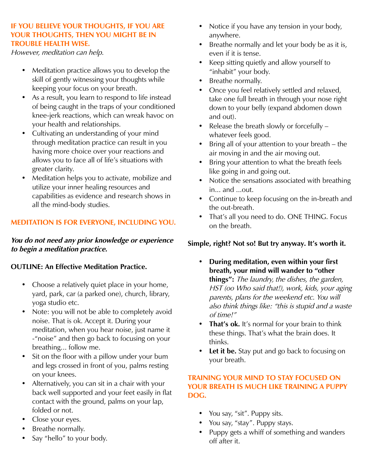#### **IF YOU BELIEVE YOUR THOUGHTS, IF YOU ARE YOUR THOUGHTS, THEN YOU MIGHT BE IN TROUBLE HEALTH WISE.**

However, meditation can help.

- Meditation practice allows you to develop the skill of gently witnessing your thoughts while keeping your focus on your breath.
- As a result, you learn to respond to life instead of being caught in the traps of your conditioned knee-jerk reactions, which can wreak havoc on your health and relationships.
- Cultivating an understanding of your mind through meditation practice can result in you having more choice over your reactions and allows you to face all of life's situations with greater clarity.
- Meditation helps you to activate, mobilize and utilize your inner healing resources and capabilities as evidence and research shows in all the mind-body studies.

### **MEDITATION IS FOR EVERYONE, INCLUDING YOU.**

**You do not need any prior knowledge or experience to begin a meditation practice.** 

#### **OUTLINE: An Effective Meditation Practice.**

- Choose a relatively quiet place in your home, yard, park, car (a parked one), church, library, yoga studio etc.
- Note: you will not be able to completely avoid noise. That is ok. Accept it. During your meditation, when you hear noise, just name it -"noise" and then go back to focusing on your breathing... follow me.
- Sit on the floor with a pillow under your bum and legs crossed in front of you, palms resting on your knees.
- Alternatively, you can sit in a chair with your back well supported and your feet easily in flat contact with the ground, palms on your lap, folded or not.
- Close your eyes.
- Breathe normally.
- Say "hello" to your body.
- Notice if you have any tension in your body, anywhere.
- Breathe normally and let your body be as it is, even if it is tense.
- Keep sitting quietly and allow yourself to "inhabit" your body.
- Breathe normally.
- Once you feel relatively settled and relaxed, take one full breath in through your nose right down to your belly (expand abdomen down and out).
- Release the breath slowly or forcefully whatever feels good.
- Bring all of your attention to your breath the air moving in and the air moving out.
- Bring your attention to what the breath feels like going in and going out.
- Notice the sensations associated with breathing in... and ...out.
- Continue to keep focusing on the in-breath and the out-breath.
- That's all you need to do. ONE THING. Focus on the breath.

## **Simple, right? Not so! But try anyway. It's worth it.**

- **During meditation, even within your first breath, your mind will wander to "other things":** The laundry, the dishes, the garden, HST (oo Who said that!), work, kids, your aging parents, plans for the weekend etc. You will also think things like: "this is stupid and a waste of time!"
- **That's ok.** It's normal for your brain to think these things. That's what the brain does. It thinks.
- Let it be. Stay put and go back to focusing on your breath.

#### **TRAINING YOUR MIND TO STAY FOCUSED ON YOUR BREATH IS MUCH LIKE TRAINING A PUPPY DOG.**

- You say, "sit". Puppy sits.
- You say, "stay". Puppy stays.
- Puppy gets a whiff of something and wanders off after it.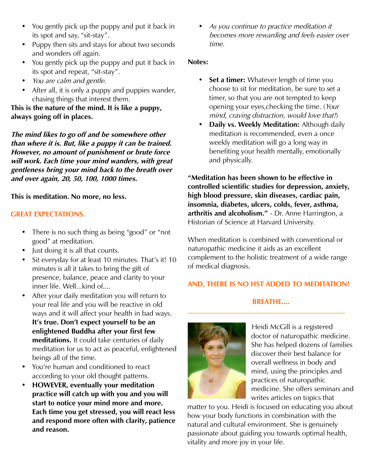- You gently pick up the puppy and put it back in its spot and say, "sit-stay".
- Puppy then sits and stays for about two seconds and wonders off again.
- You gently pick up the puppy and put it back in its spot and repeat, "sit-stay".
- You are calm and gentle.
- After all, it is only a puppy and puppies wander, chasing things that interest them.

**This is the nature of the mind. It is like a puppy, always going off in places.**

**The mind likes to go off and be somewhere other than where it is. But, like a puppy it can be trained. However, no amount of punishment or brute force will work. Each time your mind wanders, with great gentleness bring your mind back to the breath over and over again, 20, 50, 100, 1000 times.** 

**This is meditation. No more, no less.**

# **GREAT EXPECTATIONS.**

- There is no such thing as being "good" or "not good" at meditation.
- Just doing it is all that counts.
- Sit everyday for at least 10 minutes. That's it! 10 minutes is all it takes to bring the gift of presence, balance, peace and clarity to your inner life. Well...kind of....
- After your daily meditation you will return to your real life and you will be reactive in old ways and it will affect your health in bad ways. **It's true. Don't expect yourself to be an enlightened Buddha after your first few meditations.** It could take centuries of daily meditation for us to act as peaceful, enlightened beings all of the time.
- You're human and conditioned to react according to your old thought patterns.
- **HOWEVER, eventually your meditation practice will catch up with you and you will start to notice your mind more and more. Each time you get stressed, you will react less and respond more often with clarity, patience and reason.**

As you continue to practice meditation it becomes more rewarding and feels easier over time.

## **Notes:**

- **Set a timer:** Whatever length of time you choose to sit for meditation, be sure to set a timer, so that you are not tempted to keep opening your eyes,checking the time. (Your mind, craving distraction, would love that!)
- **Daily vs. Weekly Meditation:** Although daily meditation is recommended, even a once weekly meditation will go a long way in benefiting your health mentally, emotionally and physically.

**"Meditation has been shown to be effective in controlled scientific studies for depression, anxiety, high blood pressure, skin diseases, cardiac pain, insomnia, diabetes, ulcers, colds, fever, asthma, arthritis and alcoholism."** - Dr. Anne Harrington, a Historian of Science at Harvard University.

When meditation is combined with conventional or naturopathic medicine it aids as an excellent complement to the holistic treatment of a wide range of medical diagnosis.

# **AND, THERE IS NO HST ADDED TO MEDITATION!**

# **BREATHE....**

**\_\_\_\_\_\_\_\_\_\_\_\_\_\_\_\_\_\_\_\_\_\_\_\_\_\_\_\_\_\_\_\_\_\_\_\_\_\_\_\_\_\_\_\_**



Heidi McGill is a registered doctor of naturopathic medicine. She has helped dozens of families discover their best balance for overall wellness in body and mind, using the principles and practices of naturopathic medicine. She offers seminars and writes articles on topics that

matter to you. Heidi is focused on educating you about how your body functions in combination with the natural and cultural environment. She is genuinely passionate about guiding you towards optimal health, vitality and more joy in your life.